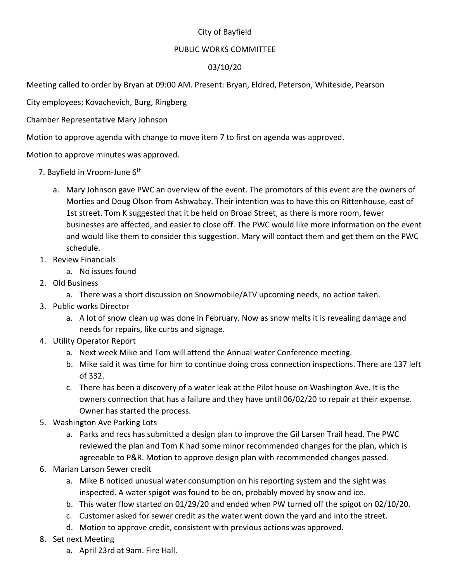## City of Bayfield

## PUBLIC WORKS COMMITTEE

## 03/10/20

Meeting called to order by Bryan at 09:00 AM. Present: Bryan, Eldred, Peterson, Whiteside, Pearson

City employees; Kovachevich, Burg, Ringberg

Chamber Representative Mary Johnson

Motion to approve agenda with change to move item 7 to first on agenda was approved.

Motion to approve minutes was approved.

- 7. Bayfield in Vroom-June 6<sup>th</sup>
	- a. Mary Johnson gave PWC an overview of the event. The promotors of this event are the owners of Morties and Doug Olson from Ashwabay. Their intention was to have this on Rittenhouse, east of 1st street. Tom K suggested that it be held on Broad Street, as there is more room, fewer businesses are affected, and easier to close off. The PWC would like more information on the event and would like them to consider this suggestion. Mary will contact them and get them on the PWC schedule.
- 1. Review Financials
	- a. No issues found
- 2. Old Business
	- a. There was a short discussion on Snowmobile/ATV upcoming needs, no action taken.
- 3. Public works Director
	- a. A lot of snow clean up was done in February. Now as snow melts it is revealing damage and needs for repairs, like curbs and signage.
- 4. Utility Operator Report
	- a. Next week Mike and Tom will attend the Annual water Conference meeting.
	- b. Mike said it was time for him to continue doing cross connection inspections. There are 137 left of 332.
	- c. There has been a discovery of a water leak at the Pilot house on Washington Ave. It is the owners connection that has a failure and they have until 06/02/20 to repair at their expense. Owner has started the process.
- 5. Washington Ave Parking Lots
	- a. Parks and recs has submitted a design plan to improve the Gil Larsen Trail head. The PWC reviewed the plan and Tom K had some minor recommended changes for the plan, which is agreeable to P&R. Motion to approve design plan with recommended changes passed.
- 6. Marian Larson Sewer credit
	- a. Mike B noticed unusual water consumption on his reporting system and the sight was inspected. A water spigot was found to be on, probably moved by snow and ice.
	- b. This water flow started on 01/29/20 and ended when PW turned off the spigot on 02/10/20.
	- c. Customer asked for sewer credit as the water went down the yard and into the street.
	- d. Motion to approve credit, consistent with previous actions was approved.
- 8. Set next Meeting
	- a. April 23rd at 9am. Fire Hall.